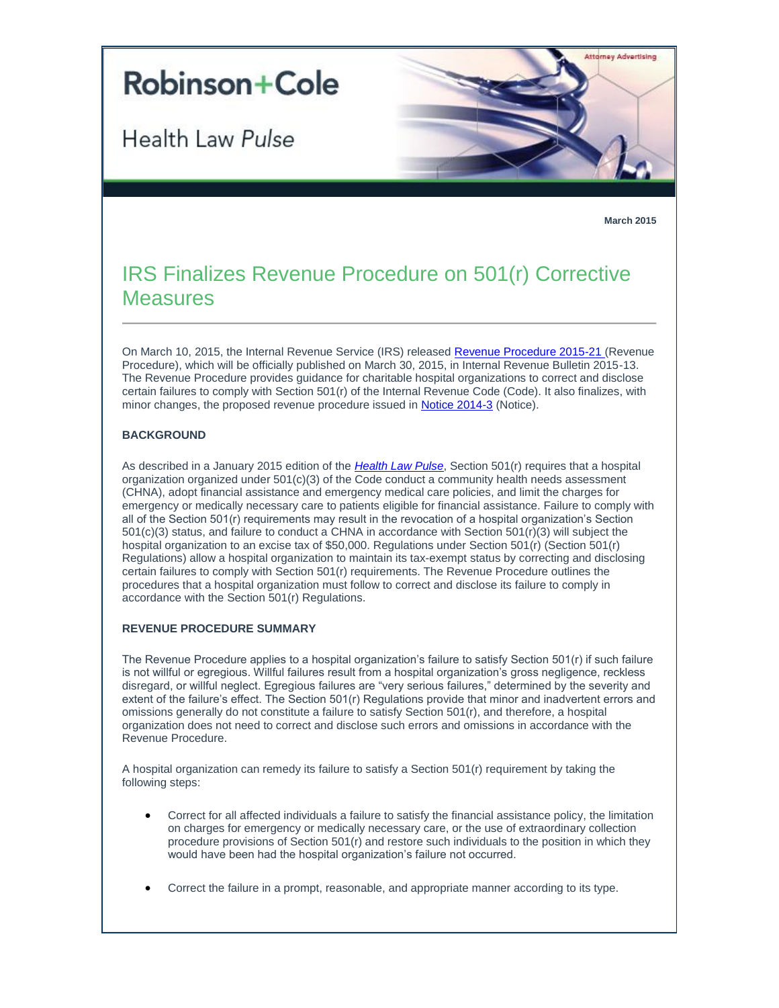# **Robinson+Cole**

Health Law Pulse



**March 2015**

# IRS Finalizes Revenue Procedure on 501(r) Corrective **Measures**

On March 10, 2015, the Internal Revenue Service (IRS) released [Revenue Procedure 2015-21 \(](http://t2806904.omkt.co/track.aspx?id=402|2AD478|6F10|19C|9B1|0|A00|1|38E8833D&destination=http%3a%2f%2fwww.irs.gov%2fpub%2firs-drop%2frp-15-21.pdf&dchk=3214C1AC)Revenue Procedure), which will be officially published on March 30, 2015, in Internal Revenue Bulletin 2015-13. The Revenue Procedure provides guidance for charitable hospital organizations to correct and disclose certain failures to comply with Section 501(r) of the Internal Revenue Code (Code). It also finalizes, with minor changes, the proposed revenue procedure issued in [Notice 2014-3](http://t2806904.omkt.co/track.aspx?id=402|2AD478|6F10|19C|9B1|0|A01|1|38E8833D&destination=http%3a%2f%2fwww.irs.gov%2fpub%2firs-drop%2fn-14-03.pdf&dchk=1F0512F5) (Notice).

## **BACKGROUND**

As described in a January 2015 edition of the *[Health Law Pulse](http://t2806904.omkt.co/track.aspx?id=402|2AD478|6F10|19C|9B1|0|A02|1|38E8833D&destination=http%3a%2f%2fwww.rc.com%2fnewsletters%2f2015%2fupload%2fLegal-Update_Health-Law-Pulse_1-21-15.pdf%3futm_source%3dVocus%26utm_medium%3demail%26utm_campaign%3dRobinson%2b%2526%2bCole%2bLLP%26utm_content%3dBHC%2bHealth%2bLaw%2bPulse%2b%2bMarch%2b2015&dchk=65C8B14D)*, Section 501(r) requires that a hospital organization organized under  $501(c)(3)$  of the Code conduct a community health needs assessment (CHNA), adopt financial assistance and emergency medical care policies, and limit the charges for emergency or medically necessary care to patients eligible for financial assistance. Failure to comply with all of the Section 501(r) requirements may result in the revocation of a hospital organization's Section 501(c)(3) status, and failure to conduct a CHNA in accordance with Section 501(r)(3) will subject the hospital organization to an excise tax of \$50,000. Regulations under Section 501(r) (Section 501(r) Regulations) allow a hospital organization to maintain its tax-exempt status by correcting and disclosing certain failures to comply with Section 501(r) requirements. The Revenue Procedure outlines the procedures that a hospital organization must follow to correct and disclose its failure to comply in accordance with the Section 501(r) Regulations.

### **REVENUE PROCEDURE SUMMARY**

The Revenue Procedure applies to a hospital organization's failure to satisfy Section 501(r) if such failure is not willful or egregious. Willful failures result from a hospital organization's gross negligence, reckless disregard, or willful neglect. Egregious failures are "very serious failures," determined by the severity and extent of the failure's effect. The Section 501(r) Regulations provide that minor and inadvertent errors and omissions generally do not constitute a failure to satisfy Section 501(r), and therefore, a hospital organization does not need to correct and disclose such errors and omissions in accordance with the Revenue Procedure.

A hospital organization can remedy its failure to satisfy a Section 501(r) requirement by taking the following steps:

- Correct for all affected individuals a failure to satisfy the financial assistance policy, the limitation on charges for emergency or medically necessary care, or the use of extraordinary collection procedure provisions of Section 501(r) and restore such individuals to the position in which they would have been had the hospital organization's failure not occurred.
- Correct the failure in a prompt, reasonable, and appropriate manner according to its type.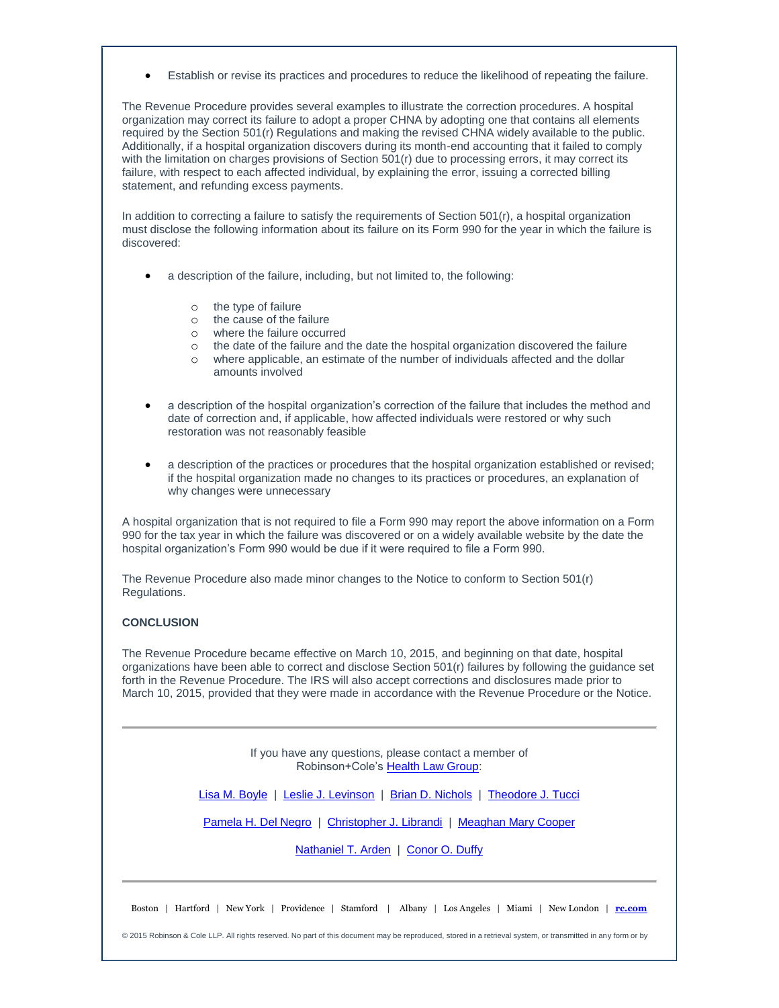Establish or revise its practices and procedures to reduce the likelihood of repeating the failure.

The Revenue Procedure provides several examples to illustrate the correction procedures. A hospital organization may correct its failure to adopt a proper CHNA by adopting one that contains all elements required by the Section 501(r) Regulations and making the revised CHNA widely available to the public. Additionally, if a hospital organization discovers during its month-end accounting that it failed to comply with the limitation on charges provisions of Section 501(r) due to processing errors, it may correct its failure, with respect to each affected individual, by explaining the error, issuing a corrected billing statement, and refunding excess payments.

In addition to correcting a failure to satisfy the requirements of Section 501(r), a hospital organization must disclose the following information about its failure on its Form 990 for the year in which the failure is discovered:

- a description of the failure, including, but not limited to, the following:
	- o the type of failure
	- o the cause of the failure
	- o where the failure occurred
	- o the date of the failure and the date the hospital organization discovered the failure
	- o where applicable, an estimate of the number of individuals affected and the dollar amounts involved
- a description of the hospital organization's correction of the failure that includes the method and date of correction and, if applicable, how affected individuals were restored or why such restoration was not reasonably feasible
- a description of the practices or procedures that the hospital organization established or revised; if the hospital organization made no changes to its practices or procedures, an explanation of why changes were unnecessary

A hospital organization that is not required to file a Form 990 may report the above information on a Form 990 for the tax year in which the failure was discovered or on a widely available website by the date the hospital organization's Form 990 would be due if it were required to file a Form 990.

The Revenue Procedure also made minor changes to the Notice to conform to Section 501(r) Regulations.

### **CONCLUSION**

The Revenue Procedure became effective on March 10, 2015, and beginning on that date, hospital organizations have been able to correct and disclose Section 501(r) failures by following the guidance set forth in the Revenue Procedure. The IRS will also accept corrections and disclosures made prior to March 10, 2015, provided that they were made in accordance with the Revenue Procedure or the Notice.

> If you have any questions, please contact a member of Robinson+Cole's [Health Law Group:](http://t2806904.omkt.co/track.aspx?id=402|2AD478|6F10|19C|9B1|0|A03|1|38E8833D&destination=http%3a%2f%2fwww.rc.com%2fpractices%2fHealthLaw%2findex.cfm%3futm_source%3dVocus%26utm_medium%3demail%26utm_campaign%3dRobinson%2b%2526%2bCole%2bLLP%26utm_content%3dBHC%2bHealth%2bLaw%2bPulse%2b%2bMarch%2b2015&dchk=6D3EE789)

[Lisa M. Boyle](http://t2806904.omkt.co/track.aspx?id=402|2AD478|6F10|19C|9B1|0|A04|1|38E8833D&destination=http%3a%2f%2fwww.rc.com%2fpeople%2fLisaMBoyle.cfm%3futm_source%3dVocus%26utm_medium%3demail%26utm_campaign%3dRobinson%2b%2526%2bCole%2bLLP%26utm_content%3dBHC%2bHealth%2bLaw%2bPulse%2b%2bMarch%2b2015&dchk=67E05641) | [Leslie J. Levinson](http://t2806904.omkt.co/track.aspx?id=402|2AD478|6F10|19C|9B1|0|A05|1|38E8833D&destination=http%3a%2f%2fwww.rc.com%2fpeople%2fLeslieJLevinson.cfm%3futm_source%3dVocus%26utm_medium%3demail%26utm_campaign%3dRobinson%2b%2526%2bCole%2bLLP%26utm_content%3dBHC%2bHealth%2bLaw%2bPulse%2b%2bMarch%2b2015&dchk=13142081) | [Brian D. Nichols](http://t2806904.omkt.co/track.aspx?id=402|2AD478|6F10|19C|9B1|0|A06|1|38E8833D&destination=http%3a%2f%2fwww.rc.com%2fpeople%2fBrianDNichols.cfm%3futm_source%3dVocus%26utm_medium%3demail%26utm_campaign%3dRobinson%2b%2526%2bCole%2bLLP%26utm_content%3dBHC%2bHealth%2bLaw%2bPulse%2b%2bMarch%2b2015&dchk=2F87BE9) | [Theodore J. Tucci](http://t2806904.omkt.co/track.aspx?id=402|2AD478|6F10|19C|9B1|0|A07|1|38E8833D&destination=http%3a%2f%2fwww.rc.com%2fpeople%2fTheodoreJTucci.cfm%3futm_source%3dVocus%26utm_medium%3demail%26utm_campaign%3dRobinson%2b%2526%2bCole%2bLLP%26utm_content%3dBHC%2bHealth%2bLaw%2bPulse%2b%2bMarch%2b2015&dchk=61037BFB)

[Pamela H. Del Negro](http://t2806904.omkt.co/track.aspx?id=402|2AD478|6F10|19C|9B1|0|A08|1|38E8833D&destination=http%3a%2f%2fwww.rc.com%2fpeople%2fPamelaHDelNegro.cfm%3futm_source%3dVocus%26utm_medium%3demail%26utm_campaign%3dRobinson%2b%2526%2bCole%2bLLP%26utm_content%3dBHC%2bHealth%2bLaw%2bPulse%2b%2bMarch%2b2015&dchk=C014C61) | [Christopher J. Librandi](http://t2806904.omkt.co/track.aspx?id=402|2AD478|6F10|19C|9B1|0|A09|1|38E8833D&destination=http%3a%2f%2fwww.rc.com%2fpeople%2fChristopherJLibrandi.cfm%3futm_source%3dVocus%26utm_medium%3demail%26utm_campaign%3dRobinson%2b%2526%2bCole%2bLLP%26utm_content%3dBHC%2bHealth%2bLaw%2bPulse%2b%2bMarch%2b2015&dchk=4817DC78) | [Meaghan Mary Cooper](http://t2806904.omkt.co/track.aspx?id=402|2AD478|6F10|19C|9B1|0|A0A|1|38E8833D&destination=http%3a%2f%2fwww.rc.com%2fpeople%2fMeaghanMaryCooper.cfm%3futm_source%3dVocus%26utm_medium%3demail%26utm_campaign%3dRobinson%2b%2526%2bCole%2bLLP%26utm_content%3dBHC%2bHealth%2bLaw%2bPulse%2b%2bMarch%2b2015&dchk=6DFE0529)

[Nathaniel T. Arden](http://t2806904.omkt.co/track.aspx?id=402|2AD478|6F10|19C|9B1|0|A0B|1|38E8833D&destination=http%3a%2f%2fwww.rc.com%2fpeople%2fNathanielTArden.cfm%3futm_source%3dVocus%26utm_medium%3demail%26utm_campaign%3dRobinson%2b%2526%2bCole%2bLLP%26utm_content%3dBHC%2bHealth%2bLaw%2bPulse%2b%2bMarch%2b2015&dchk=CE35C43) | [Conor O. Duffy](http://t2806904.omkt.co/track.aspx?id=402|2AD478|6F10|19C|9B1|0|A0C|1|38E8833D&destination=http%3a%2f%2fwww.rc.com%2fpeople%2fConorODuffy.cfm%3futm_source%3dVocus%26utm_medium%3demail%26utm_campaign%3dRobinson%2b%2526%2bCole%2bLLP%26utm_content%3dBHC%2bHealth%2bLaw%2bPulse%2b%2bMarch%2b2015&dchk=1FDDCA07)

© 2015 Robinson & Cole LLP. All rights reserved. No part of this document may be reproduced, stored in a retrieval system, or transmitted in any form or by